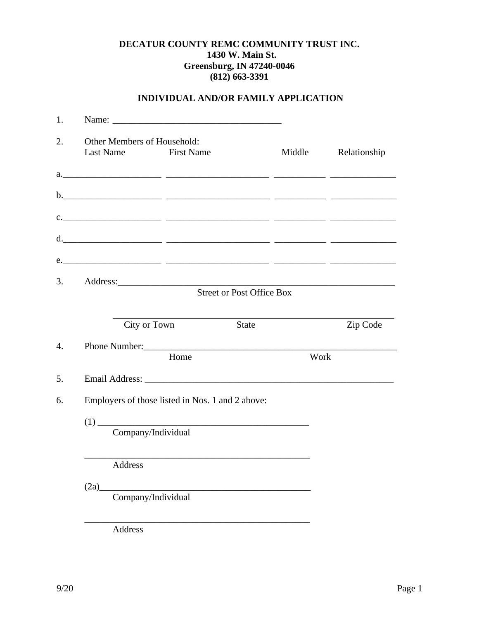### **DECATUR COUNTY REMC COMMUNITY TRUST INC. 1430 W. Main St. Greensburg, IN 47240-0046 (812) 663-3391**

## **INDIVIDUAL AND/OR FAMILY APPLICATION**

| 1. |                                                     |                                                                                                                                                                                                                                                                                                                                                                                                                                                                                                                                                                                    |                                                                                                                                                                                                                                |              |
|----|-----------------------------------------------------|------------------------------------------------------------------------------------------------------------------------------------------------------------------------------------------------------------------------------------------------------------------------------------------------------------------------------------------------------------------------------------------------------------------------------------------------------------------------------------------------------------------------------------------------------------------------------------|--------------------------------------------------------------------------------------------------------------------------------------------------------------------------------------------------------------------------------|--------------|
| 2. | Other Members of Household:<br>Last Name First Name |                                                                                                                                                                                                                                                                                                                                                                                                                                                                                                                                                                                    | Middle                                                                                                                                                                                                                         | Relationship |
|    |                                                     |                                                                                                                                                                                                                                                                                                                                                                                                                                                                                                                                                                                    |                                                                                                                                                                                                                                |              |
|    |                                                     |                                                                                                                                                                                                                                                                                                                                                                                                                                                                                                                                                                                    |                                                                                                                                                                                                                                |              |
|    |                                                     |                                                                                                                                                                                                                                                                                                                                                                                                                                                                                                                                                                                    |                                                                                                                                                                                                                                |              |
|    |                                                     |                                                                                                                                                                                                                                                                                                                                                                                                                                                                                                                                                                                    |                                                                                                                                                                                                                                |              |
|    |                                                     |                                                                                                                                                                                                                                                                                                                                                                                                                                                                                                                                                                                    | e.                                                                                                                                                                                                                             |              |
| 3. |                                                     |                                                                                                                                                                                                                                                                                                                                                                                                                                                                                                                                                                                    | Address: No. 1998. The Contract of the Contract of the Contract of the Contract of the Contract of the Contract of the Contract of the Contract of the Contract of the Contract of the Contract of the Contract of the Contrac |              |
|    |                                                     | <b>Street or Post Office Box</b>                                                                                                                                                                                                                                                                                                                                                                                                                                                                                                                                                   |                                                                                                                                                                                                                                |              |
|    | City or Town                                        |                                                                                                                                                                                                                                                                                                                                                                                                                                                                                                                                                                                    | State                                                                                                                                                                                                                          | Zip Code     |
|    |                                                     | Home                                                                                                                                                                                                                                                                                                                                                                                                                                                                                                                                                                               | Work                                                                                                                                                                                                                           |              |
|    |                                                     |                                                                                                                                                                                                                                                                                                                                                                                                                                                                                                                                                                                    |                                                                                                                                                                                                                                |              |
|    |                                                     | Employers of those listed in Nos. 1 and 2 above:                                                                                                                                                                                                                                                                                                                                                                                                                                                                                                                                   |                                                                                                                                                                                                                                |              |
|    |                                                     |                                                                                                                                                                                                                                                                                                                                                                                                                                                                                                                                                                                    |                                                                                                                                                                                                                                |              |
|    |                                                     | $(1) \begin{tabular}{l} \hline \multicolumn{3}{l}{\textbf{Company/Individual}}\\ \hline \multicolumn{3}{l}{\textbf{Company/Individual}}\\ \hline \multicolumn{3}{l}{\textbf{Company/Individual}}\\ \hline \multicolumn{3}{l}{\textbf{Company/Individual}}\\ \hline \multicolumn{3}{l}{\textbf{Company/Individual}}\\ \hline \multicolumn{3}{l}{\textbf{Company/Individual}}\\ \hline \multicolumn{3}{l}{\textbf{Company/Individual}}\\ \hline \multicolumn{3}{l}{\textbf{Company/Individual}}\\ \hline \multicolumn{3}{l}{\textbf{Company/Individual}}\\ \hline \multicolumn{3}{l$ |                                                                                                                                                                                                                                |              |
|    | Address                                             | <u> 1989 - Johann Stein, marwolaethau a bhann an t-Amhain ann an t-Amhain an t-Amhain an t-Amhain an t-Amhain an</u>                                                                                                                                                                                                                                                                                                                                                                                                                                                               |                                                                                                                                                                                                                                |              |
|    | (2a)                                                |                                                                                                                                                                                                                                                                                                                                                                                                                                                                                                                                                                                    |                                                                                                                                                                                                                                |              |
|    | Company/Individual                                  |                                                                                                                                                                                                                                                                                                                                                                                                                                                                                                                                                                                    |                                                                                                                                                                                                                                |              |
|    | Address                                             |                                                                                                                                                                                                                                                                                                                                                                                                                                                                                                                                                                                    |                                                                                                                                                                                                                                |              |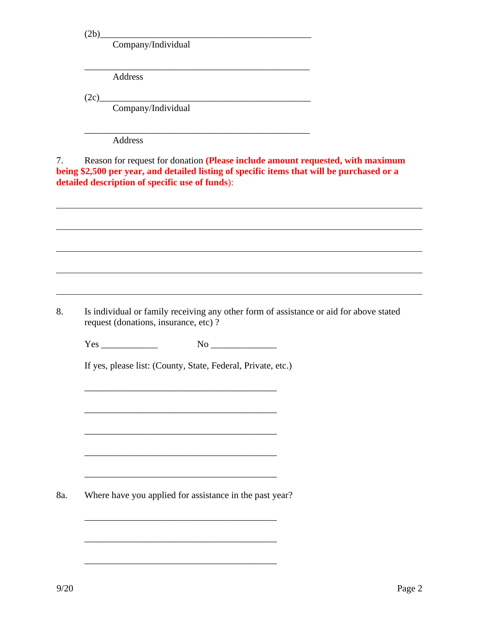$(2b)$ 

Company/Individual

\_\_\_\_\_\_\_\_\_\_\_\_\_\_\_\_\_\_\_\_\_\_\_\_\_\_\_\_\_\_\_\_\_\_\_\_\_\_\_\_\_\_\_\_\_\_\_\_

\_\_\_\_\_\_\_\_\_\_\_\_\_\_\_\_\_\_\_\_\_\_\_\_\_\_\_\_\_\_\_\_\_\_\_\_\_\_\_\_\_\_\_\_\_\_\_\_

Address

 $(2c)$ 

Company/Individual

Address

7. Reason for request for donation **(Please include amount requested, with maximum being \$2,500 per year, and detailed listing of specific items that will be purchased or a detailed description of specific use of funds**):

8. Is individual or family receiving any other form of assistance or aid for above stated request (donations, insurance, etc) ?

 $Yes \qquad \qquad No \qquad$ 

\_\_\_\_\_\_\_\_\_\_\_\_\_\_\_\_\_\_\_\_\_\_\_\_\_\_\_\_\_\_\_\_\_\_\_\_\_\_\_\_\_

\_\_\_\_\_\_\_\_\_\_\_\_\_\_\_\_\_\_\_\_\_\_\_\_\_\_\_\_\_\_\_\_\_\_\_\_\_\_\_\_\_

 $\overline{\phantom{a}}$  ,  $\overline{\phantom{a}}$  ,  $\overline{\phantom{a}}$  ,  $\overline{\phantom{a}}$  ,  $\overline{\phantom{a}}$  ,  $\overline{\phantom{a}}$  ,  $\overline{\phantom{a}}$  ,  $\overline{\phantom{a}}$  ,  $\overline{\phantom{a}}$  ,  $\overline{\phantom{a}}$  ,  $\overline{\phantom{a}}$  ,  $\overline{\phantom{a}}$  ,  $\overline{\phantom{a}}$  ,  $\overline{\phantom{a}}$  ,  $\overline{\phantom{a}}$  ,  $\overline{\phantom{a}}$ 

 $\overline{\phantom{a}}$  ,  $\overline{\phantom{a}}$  ,  $\overline{\phantom{a}}$  ,  $\overline{\phantom{a}}$  ,  $\overline{\phantom{a}}$  ,  $\overline{\phantom{a}}$  ,  $\overline{\phantom{a}}$  ,  $\overline{\phantom{a}}$  ,  $\overline{\phantom{a}}$  ,  $\overline{\phantom{a}}$  ,  $\overline{\phantom{a}}$  ,  $\overline{\phantom{a}}$  ,  $\overline{\phantom{a}}$  ,  $\overline{\phantom{a}}$  ,  $\overline{\phantom{a}}$  ,  $\overline{\phantom{a}}$ 

If yes, please list: (County, State, Federal, Private, etc.)

8a. Where have you applied for assistance in the past year?

 $\overline{\phantom{a}}$  ,  $\overline{\phantom{a}}$  ,  $\overline{\phantom{a}}$  ,  $\overline{\phantom{a}}$  ,  $\overline{\phantom{a}}$  ,  $\overline{\phantom{a}}$  ,  $\overline{\phantom{a}}$  ,  $\overline{\phantom{a}}$  ,  $\overline{\phantom{a}}$  ,  $\overline{\phantom{a}}$  ,  $\overline{\phantom{a}}$  ,  $\overline{\phantom{a}}$  ,  $\overline{\phantom{a}}$  ,  $\overline{\phantom{a}}$  ,  $\overline{\phantom{a}}$  ,  $\overline{\phantom{a}}$ 

 $\overline{\phantom{a}}$  ,  $\overline{\phantom{a}}$  ,  $\overline{\phantom{a}}$  ,  $\overline{\phantom{a}}$  ,  $\overline{\phantom{a}}$  ,  $\overline{\phantom{a}}$  ,  $\overline{\phantom{a}}$  ,  $\overline{\phantom{a}}$  ,  $\overline{\phantom{a}}$  ,  $\overline{\phantom{a}}$  ,  $\overline{\phantom{a}}$  ,  $\overline{\phantom{a}}$  ,  $\overline{\phantom{a}}$  ,  $\overline{\phantom{a}}$  ,  $\overline{\phantom{a}}$  ,  $\overline{\phantom{a}}$ 

\_\_\_\_\_\_\_\_\_\_\_\_\_\_\_\_\_\_\_\_\_\_\_\_\_\_\_\_\_\_\_\_\_\_\_\_\_\_\_\_\_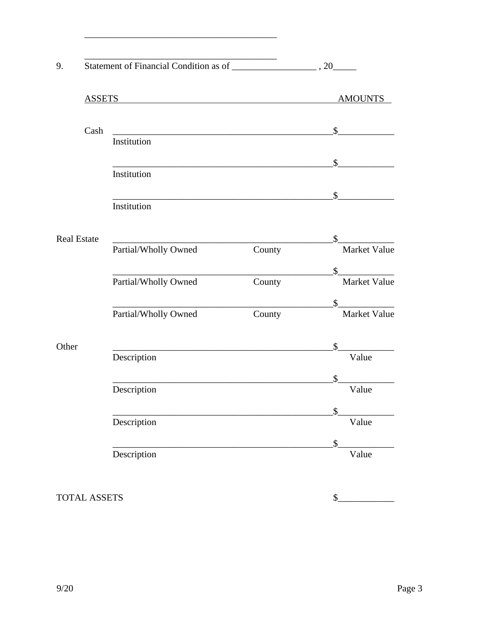| 9.    |                    |                      |                |                                     |  |
|-------|--------------------|----------------------|----------------|-------------------------------------|--|
|       | <b>ASSETS</b>      |                      | <b>AMOUNTS</b> |                                     |  |
|       | Cash               |                      |                | $\mathbb{S}^-$                      |  |
|       |                    | Institution          |                |                                     |  |
|       |                    | Institution          |                | $\mathbb{S}$                        |  |
|       |                    | Institution          |                | $\mathbb{S}$                        |  |
|       | <b>Real Estate</b> |                      |                | $\mathbb{S}$                        |  |
|       |                    | Partial/Wholly Owned | County         | Market Value                        |  |
|       |                    | Partial/Wholly Owned | County         | $\mathbb{S}$<br><b>Market Value</b> |  |
|       |                    | Partial/Wholly Owned | County         | $\mathbb{S}$<br><b>Market Value</b> |  |
| Other |                    |                      |                | \$                                  |  |
|       |                    | Description          |                | Value<br>\$                         |  |
|       |                    | Description          |                | Value                               |  |
|       |                    | Description          |                | $\mathfrak{F}$<br>Value             |  |
|       |                    | Description          |                | $\mathcal{S}$<br>Value              |  |

TOTAL ASSETS

 $\begin{array}{c|c} \n\multicolumn{3}{c|}{\textbf{\textcolor{red}{\bf S}}}\n\end{array}$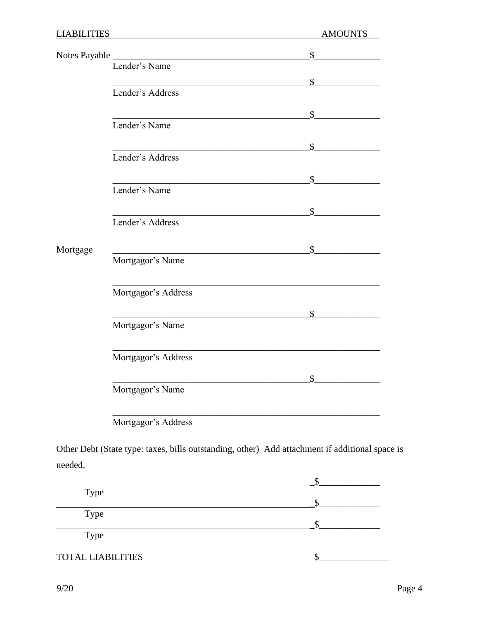| <b>LIABILITIES</b> |                                                                             | <b>AMOUNTS</b> |
|--------------------|-----------------------------------------------------------------------------|----------------|
|                    |                                                                             | $\mathbb{S}$   |
|                    | Notes Payable Lender's Name                                                 |                |
|                    |                                                                             | $\mathbb{S}$   |
|                    | Lender's Address                                                            |                |
|                    |                                                                             | $\mathbb{S}^-$ |
|                    | <u> 1989 - Johann Barn, amerikansk politiker (</u> † 1908)<br>Lender's Name |                |
|                    | <u> 1990 - Johann John Stein, markin santa a</u>                            | $\mathbb{S}$   |
|                    | Lender's Address                                                            |                |
|                    | <u> 1989 - Jan James James, politik eta idazleari (h. 1989).</u>            | $\mathbb{S}$   |
|                    | Lender's Name                                                               |                |
|                    |                                                                             | $\mathbb{S}$   |
|                    | Lender's Address                                                            |                |
|                    |                                                                             |                |
| Mortgage           | Mortgagor's Name                                                            | $\sim$ \$      |
|                    | Mortgagor's Address                                                         |                |
|                    |                                                                             | $\mathbb{S}$   |
|                    | Mortgagor's Name                                                            |                |
|                    | Mortgagor's Address                                                         |                |
|                    |                                                                             | $\mathbb{S}^-$ |
|                    | Mortgagor's Name                                                            |                |
|                    | Mortgagor's Address                                                         |                |

Other Debt (State type: taxes, bills outstanding, other) Add attachment if additional space is needed.

| <b>Type</b>              |  |
|--------------------------|--|
|                          |  |
| <b>Type</b>              |  |
|                          |  |
| <b>Type</b>              |  |
| <b>TOTAL LIABILITIES</b> |  |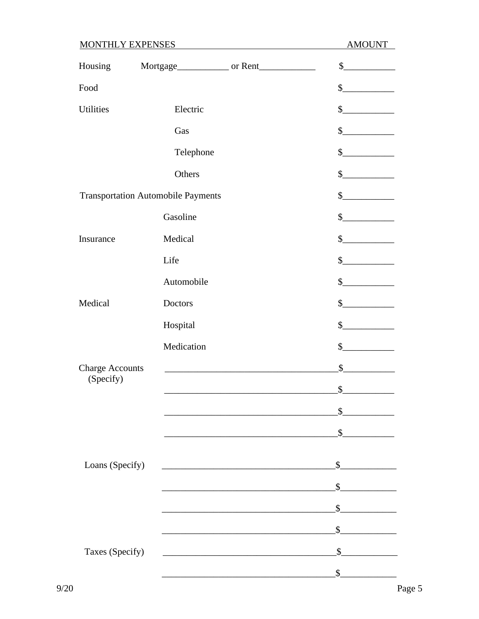# **MONTHLY EXPENSES**

**AMOUNT** 

| Housing                |                                           |                                                   | $\begin{picture}(20,20) \put(0,0){\line(1,0){100}} \put(15,0){\line(1,0){100}} \put(15,0){\line(1,0){100}} \put(15,0){\line(1,0){100}} \put(15,0){\line(1,0){100}} \put(15,0){\line(1,0){100}} \put(15,0){\line(1,0){100}} \put(15,0){\line(1,0){100}} \put(15,0){\line(1,0){100}} \put(15,0){\line(1,0){100}} \put(15,0){\line(1,0){100}} \$                                |
|------------------------|-------------------------------------------|---------------------------------------------------|------------------------------------------------------------------------------------------------------------------------------------------------------------------------------------------------------------------------------------------------------------------------------------------------------------------------------------------------------------------------------|
| Food                   |                                           |                                                   | s                                                                                                                                                                                                                                                                                                                                                                            |
| <b>Utilities</b>       | Electric                                  |                                                   | s                                                                                                                                                                                                                                                                                                                                                                            |
|                        | Gas                                       |                                                   | s                                                                                                                                                                                                                                                                                                                                                                            |
|                        | Telephone                                 |                                                   | $\frac{\S_{\frac{1}{2}}}{\S_{\frac{1}{2}}}{\S_{\frac{1}{2}}}{\S_{\frac{1}{2}}}{\S_{\frac{1}{2}}}{\S_{\frac{1}{2}}}{\S_{\frac{1}{2}}}{\S_{\frac{1}{2}}}{\S_{\frac{1}{2}}}{\S_{\frac{1}{2}}}{\S_{\frac{1}{2}}}{\S_{\frac{1}{2}}}{\S_{\frac{1}{2}}}{\S_{\frac{1}{2}}}{\S_{\frac{1}{2}}}{\S_{\frac{1}{2}}}{\S_{\frac{1}{2}}}{\S_{\frac{1}{2}}}{\S_{\frac{1}{2}}}{\S_{\frac{1}{2$ |
|                        | Others                                    |                                                   | s                                                                                                                                                                                                                                                                                                                                                                            |
|                        | <b>Transportation Automobile Payments</b> |                                                   | $\frac{\sqrt{2}}{2}$                                                                                                                                                                                                                                                                                                                                                         |
|                        | Gasoline                                  |                                                   | $\sim$                                                                                                                                                                                                                                                                                                                                                                       |
| Insurance              | Medical                                   |                                                   | s                                                                                                                                                                                                                                                                                                                                                                            |
|                        | Life                                      |                                                   | s                                                                                                                                                                                                                                                                                                                                                                            |
|                        | Automobile                                |                                                   | s                                                                                                                                                                                                                                                                                                                                                                            |
| Medical                | Doctors                                   |                                                   | s                                                                                                                                                                                                                                                                                                                                                                            |
|                        | Hospital                                  |                                                   | $\frac{1}{2}$                                                                                                                                                                                                                                                                                                                                                                |
|                        | Medication                                |                                                   | s                                                                                                                                                                                                                                                                                                                                                                            |
| <b>Charge Accounts</b> |                                           |                                                   | $\frac{\S_{\frac{1}{2}}}{\S_{\frac{1}{2}}}{\S_{\frac{1}{2}}}{\S_{\frac{1}{2}}}{\S_{\frac{1}{2}}}{\S_{\frac{1}{2}}}{\S_{\frac{1}{2}}}{\S_{\frac{1}{2}}}{\S_{\frac{1}{2}}}{\S_{\frac{1}{2}}}{\S_{\frac{1}{2}}}{\S_{\frac{1}{2}}}{\S_{\frac{1}{2}}}{\S_{\frac{1}{2}}}{\S_{\frac{1}{2}}}{\S_{\frac{1}{2}}}{\S_{\frac{1}{2}}}{\S_{\frac{1}{2}}}{\S_{\frac{1}{2}}}{\S_{\frac{1}{2$ |
| (Specify)              |                                           |                                                   | $\sim$                                                                                                                                                                                                                                                                                                                                                                       |
|                        |                                           |                                                   |                                                                                                                                                                                                                                                                                                                                                                              |
|                        |                                           |                                                   | \$                                                                                                                                                                                                                                                                                                                                                                           |
|                        |                                           |                                                   |                                                                                                                                                                                                                                                                                                                                                                              |
| Loans (Specify)        |                                           |                                                   | $\mathbb{S}$                                                                                                                                                                                                                                                                                                                                                                 |
|                        |                                           | <u> 1989 - Johann Barbara, martxa alemaniar a</u> | \$                                                                                                                                                                                                                                                                                                                                                                           |
|                        |                                           |                                                   | $\mathbb{S}$                                                                                                                                                                                                                                                                                                                                                                 |
|                        |                                           |                                                   | $\mathbb{S}$                                                                                                                                                                                                                                                                                                                                                                 |
| Taxes (Specify)        |                                           | <u> 1980 - Jan Barbara (j. 1980)</u>              | $\mathbb{S}$                                                                                                                                                                                                                                                                                                                                                                 |
|                        |                                           |                                                   | \$                                                                                                                                                                                                                                                                                                                                                                           |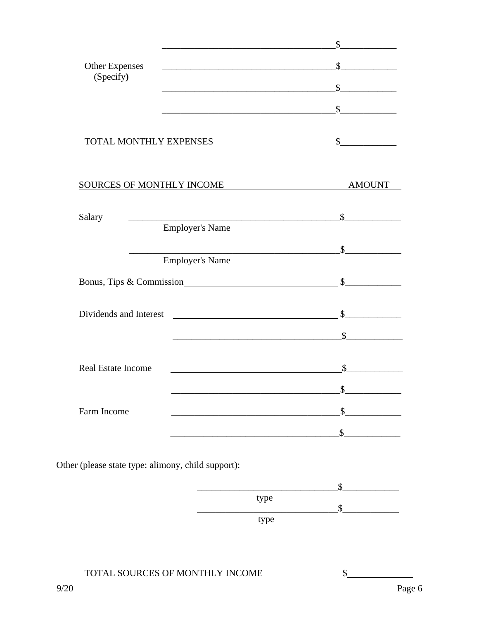|                                                    |                                                                                                                       | \$            |
|----------------------------------------------------|-----------------------------------------------------------------------------------------------------------------------|---------------|
| <b>Other Expenses</b>                              | <u> 1989 - Johann Barbara, martin amerikan basar dan berasal dan berasal dalam basar dalam basar dalam basar dala</u> | $\mathbb{S}$  |
| (Specify)                                          |                                                                                                                       | $\sim$        |
|                                                    |                                                                                                                       | $\sim$        |
| <b>TOTAL MONTHLY EXPENSES</b>                      |                                                                                                                       | $\mathbb{S}$  |
|                                                    | SOURCES OF MONTHLY INCOME                                                                                             | <b>AMOUNT</b> |
| Salary                                             | <b>Employer's Name</b>                                                                                                | $\mathbb{S}$  |
|                                                    | <b>Employer's Name</b>                                                                                                | $\mathbb{S}$  |
|                                                    |                                                                                                                       |               |
|                                                    | Bonus, Tips & Commission                                                                                              | $\mathbb{S}$  |
| Dividends and Interest <b>Exercísies CONSUMERS</b> |                                                                                                                       | $\sim$        |
|                                                    | <u> 2000 - 2000 - 2000 - 2000 - 2000 - 2000 - 2000 - 2000 - 2000 - 2000 - 2000 - 2000 - 2000 - 2000 - 2000 - 200</u>  | $\mathbb{S}$  |
| <b>Real Estate Income</b>                          |                                                                                                                       | \$            |
|                                                    |                                                                                                                       | ¢             |
| Farm Income                                        |                                                                                                                       | \$            |
|                                                    |                                                                                                                       | $\sim$        |
|                                                    |                                                                                                                       |               |

Other (please state type: alimony, child support):

| type |  |
|------|--|
|      |  |
| type |  |

## TOTAL SOURCES OF MONTHLY INCOME

 $\frac{1}{2}$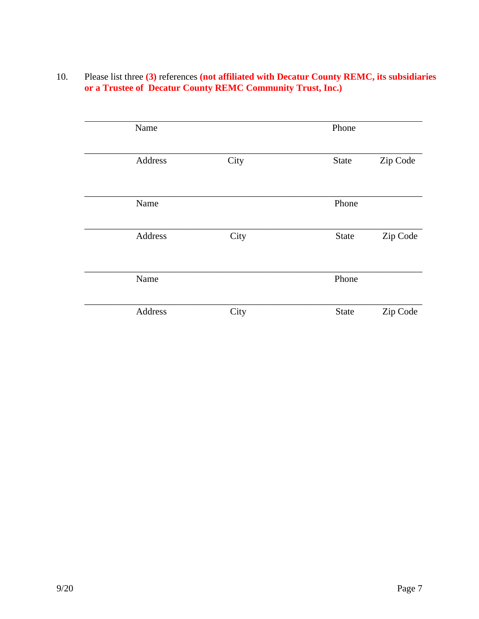10. Please list three **(3)** references **(not affiliated with Decatur County REMC, its subsidiaries or a Trustee of Decatur County REMC Community Trust, Inc.)**

| Name    |      | Phone        |          |
|---------|------|--------------|----------|
| Address | City | State        | Zip Code |
| Name    |      | Phone        |          |
| Address | City | State        | Zip Code |
| Name    |      | Phone        |          |
| Address | City | <b>State</b> | Zip Code |